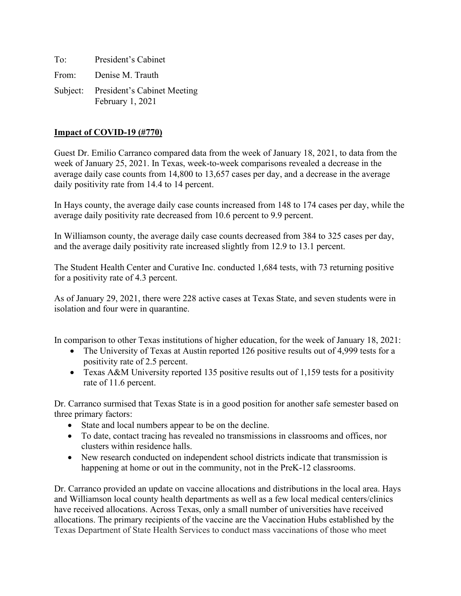To: President's Cabinet From: Denise M. Trauth Subject: President's Cabinet Meeting February 1, 2021

## **Impact of COVID-19 (#770)**

Guest Dr. Emilio Carranco compared data from the week of January 18, 2021, to data from the week of January 25, 2021. In Texas, week-to-week comparisons revealed a decrease in the average daily case counts from 14,800 to 13,657 cases per day, and a decrease in the average daily positivity rate from 14.4 to 14 percent.

In Hays county, the average daily case counts increased from 148 to 174 cases per day, while the average daily positivity rate decreased from 10.6 percent to 9.9 percent.

In Williamson county, the average daily case counts decreased from 384 to 325 cases per day, and the average daily positivity rate increased slightly from 12.9 to 13.1 percent.

The Student Health Center and Curative Inc. conducted 1,684 tests, with 73 returning positive for a positivity rate of 4.3 percent.

As of January 29, 2021, there were 228 active cases at Texas State, and seven students were in isolation and four were in quarantine.

In comparison to other Texas institutions of higher education, for the week of January 18, 2021:

- The University of Texas at Austin reported 126 positive results out of 4,999 tests for a positivity rate of 2.5 percent.
- Texas A&M University reported 135 positive results out of 1,159 tests for a positivity rate of 11.6 percent.

Dr. Carranco surmised that Texas State is in a good position for another safe semester based on three primary factors:

- State and local numbers appear to be on the decline.
- To date, contact tracing has revealed no transmissions in classrooms and offices, nor clusters within residence halls.
- New research conducted on independent school districts indicate that transmission is happening at home or out in the community, not in the PreK-12 classrooms.

Dr. Carranco provided an update on vaccine allocations and distributions in the local area. Hays and Williamson local county health departments as well as a few local medical centers/clinics have received allocations. Across Texas, only a small number of universities have received allocations. The primary recipients of the vaccine are the Vaccination Hubs established by the Texas Department of State Health Services to conduct mass vaccinations of those who meet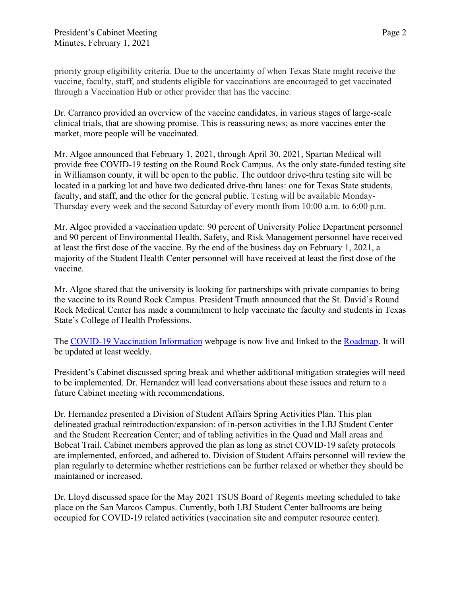priority group eligibility criteria. Due to the uncertainty of when Texas State might receive the vaccine, faculty, staff, and students eligible for vaccinations are encouraged to get vaccinated through a Vaccination Hub or other provider that has the vaccine.

Dr. Carranco provided an overview of the vaccine candidates, in various stages of large-scale clinical trials, that are showing promise. This is reassuring news; as more vaccines enter the market, more people will be vaccinated.

Mr. Algoe announced that February 1, 2021, through April 30, 2021, Spartan Medical will provide free COVID-19 testing on the Round Rock Campus. As the only state-funded testing site in Williamson county, it will be open to the public. The outdoor drive-thru testing site will be located in a parking lot and have two dedicated drive-thru lanes: one for Texas State students, faculty, and staff, and the other for the general public. Testing will be available Monday-Thursday every week and the second Saturday of every month from 10:00 a.m. to 6:00 p.m.

Mr. Algoe provided a vaccination update: 90 percent of University Police Department personnel and 90 percent of Environmental Health, Safety, and Risk Management personnel have received at least the first dose of the vaccine. By the end of the business day on February 1, 2021, a majority of the Student Health Center personnel will have received at least the first dose of the vaccine.

Mr. Algoe shared that the university is looking for partnerships with private companies to bring the vaccine to its Round Rock Campus. President Trauth announced that the St. David's Round Rock Medical Center has made a commitment to help vaccinate the faculty and students in Texas State's College of Health Professions.

The [COVID-19 Vaccination Information](https://www.healthcenter.txstate.edu/covid-19/vaccination.html) webpage is now live and linked to the [Roadmap.](https://www.txstate.edu/coronavirus/road-map.html) It will be updated at least weekly.

President's Cabinet discussed spring break and whether additional mitigation strategies will need to be implemented. Dr. Hernandez will lead conversations about these issues and return to a future Cabinet meeting with recommendations.

Dr. Hernandez presented a Division of Student Affairs Spring Activities Plan. This plan delineated gradual reintroduction/expansion: of in-person activities in the LBJ Student Center and the Student Recreation Center; and of tabling activities in the Quad and Mall areas and Bobcat Trail. Cabinet members approved the plan as long as strict COVID-19 safety protocols are implemented, enforced, and adhered to. Division of Student Affairs personnel will review the plan regularly to determine whether restrictions can be further relaxed or whether they should be maintained or increased.

Dr. Lloyd discussed space for the May 2021 TSUS Board of Regents meeting scheduled to take place on the San Marcos Campus. Currently, both LBJ Student Center ballrooms are being occupied for COVID-19 related activities (vaccination site and computer resource center).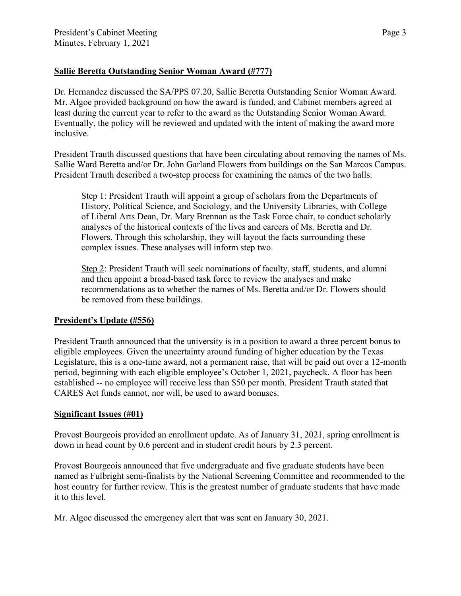## **Sallie Beretta Outstanding Senior Woman Award (#777)**

Dr. Hernandez discussed the SA/PPS 07.20, Sallie Beretta Outstanding Senior Woman Award. Mr. Algoe provided background on how the award is funded, and Cabinet members agreed at least during the current year to refer to the award as the Outstanding Senior Woman Award. Eventually, the policy will be reviewed and updated with the intent of making the award more inclusive.

President Trauth discussed questions that have been circulating about removing the names of Ms. Sallie Ward Beretta and/or Dr. John Garland Flowers from buildings on the San Marcos Campus. President Trauth described a two-step process for examining the names of the two halls.

Step 1: President Trauth will appoint a group of scholars from the Departments of History, Political Science, and Sociology, and the University Libraries, with College of Liberal Arts Dean, Dr. Mary Brennan as the Task Force chair, to conduct scholarly analyses of the historical contexts of the lives and careers of Ms. Beretta and Dr. Flowers. Through this scholarship, they will layout the facts surrounding these complex issues. These analyses will inform step two.

Step 2: President Trauth will seek nominations of faculty, staff, students, and alumni and then appoint a broad-based task force to review the analyses and make recommendations as to whether the names of Ms. Beretta and/or Dr. Flowers should be removed from these buildings.

## **President's Update (#556)**

President Trauth announced that the university is in a position to award a three percent bonus to eligible employees. Given the uncertainty around funding of higher education by the Texas Legislature, this is a one-time award, not a permanent raise, that will be paid out over a 12-month period, beginning with each eligible employee's October 1, 2021, paycheck. A floor has been established -- no employee will receive less than \$50 per month. President Trauth stated that CARES Act funds cannot, nor will, be used to award bonuses.

## **Significant Issues (#01)**

Provost Bourgeois provided an enrollment update. As of January 31, 2021, spring enrollment is down in head count by 0.6 percent and in student credit hours by 2.3 percent.

Provost Bourgeois announced that five undergraduate and five graduate students have been named as Fulbright semi-finalists by the National Screening Committee and recommended to the host country for further review. This is the greatest number of graduate students that have made it to this level.

Mr. Algoe discussed the emergency alert that was sent on January 30, 2021.